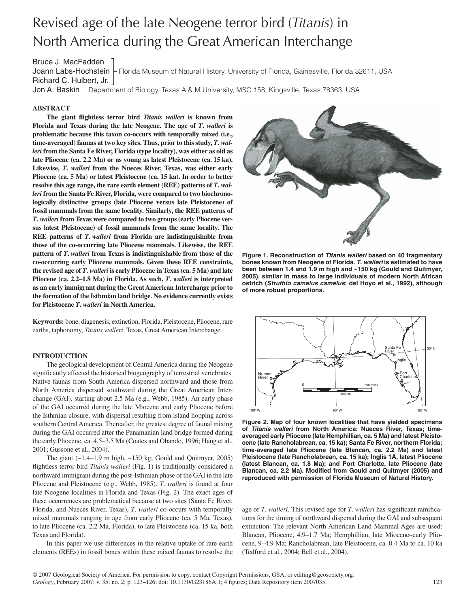# Revised age of the late Neogene terror bird (*Titanis*) in North America during the Great American Interchange

# Bruce J. MacFadden

Joann Labs-Hochstein Florida Museum of Natural History, University of Florida, Gainesville, Florida 32611, USA Richard C. Hulbert, Jr.

Jon A. Baskin Department of Biology, Texas A & M University, MSC 158, Kingsville, Texas 78363, USA

## **ABSTRACT**

The giant flightless terror bird *Titanis walleri* is known from  **Florida and Texas during the late Neogene. The age of** *T***.** *walleri* **is problematic because this taxon co-occurs with temporally mixed (i.e., time-averaged) faunas at two key sites. Thus, prior to this study,** *T***.** *walleri* **from the Santa Fe River, Florida (type locality), was either as old as late Pliocene (ca. 2.2 Ma) or as young as latest Pleistocene (ca. 15 ka). Likewise,** *T***.** *walleri* **from the Nueces River, Texas, was either early Pliocene (ca. 5 Ma) or latest Pleistocene (ca. 15 ka). In order to better resolve this age range, the rare earth element (REE) patterns of** *T***.** *walleri* **from the Santa Fe River, Florida, were compared to two biochronologically distinctive groups (late Pliocene versus late Pleistocene) of fossil mammals from the same locality. Similarly, the REE patterns of**  *T***.** *walleri* **from Texas were compared to two groups (early Pliocene ver**sus latest Pleistocene) of fossil mammals from the same locality. The **REE patterns of** *T***.** *walleri* **from Florida are indistinguishable from those of the co-occurring late Pliocene mammals. Likewise, the REE pattern of** *T***.** *walleri* **from Texas is indistinguishable from those of the co-occurring early Pliocene mammals. Given these REE constraints, the revised age of** *T***.** *walleri* **is early Pliocene in Texas (ca. 5 Ma) and late Pliocene (ca. 2.2–1.8 Ma) in Florida. As such,** *T***.** *walleri* **is interpreted as an early immigrant during the Great American Interchange prior to the formation of the Isthmian land bridge. No evidence currently exists for Pleistocene** *T***.** *walleri* **in North America.**

**Keywords:** bone, diagenesis, extinction, Florida, Pleistocene, Pliocene, rare earths, taphonomy, *Titanis walleri*, Texas, Great American Interchange.

#### **INTRODUCTION**

The geological development of Central America during the Neogene significantly affected the historical biogeography of terrestrial vertebrates. Native faunas from South America dispersed northward and those from North America dispersed southward during the Great American Interchange (GAI), starting about 2.5 Ma (e.g., Webb, 1985). An early phase of the GAI occurred during the late Miocene and early Pliocene before the Isthmian closure, with dispersal resulting from island hopping across southern Central America. Thereafter, the greatest degree of faunal mixing during the GAI occurred after the Panamanian land bridge formed during the early Pliocene, ca. 4.5–3.5 Ma (Coates and Obando, 1996; Haug et al., 2001; Gussone et al., 2004).

The giant  $(-1.4-1.9 \text{ m high}, -150 \text{ kg};$  Gould and Quitmyer, 2005) flightless terror bird *Titanis walleri* (Fig. 1) is traditionally considered a northward immigrant during the post-Isthmian phase of the GAI in the late Pliocene and Pleistocene (e.g., Webb, 1985). *T*. *walleri* is found at four late Neogene localities in Florida and Texas (Fig. 2). The exact ages of these occurrences are problematical because at two sites (Santa Fe River, Florida, and Nueces River, Texas), *T*. *walleri* co-occurs with temporally mixed mammals ranging in age from early Pliocene (ca. 5 Ma, Texas), to late Pliocene (ca. 2.2 Ma, Florida), to late Pleistocene (ca. 15 ka, both Texas and Florida).

In this paper we use differences in the relative uptake of rare earth elements (REEs) in fossil bones within these mixed faunas to resolve the



**Figure 1. Reconstruction of** *Titanis walleri* **based on 40 fragmentary bones known from Neogene of Florida.** *T***.** *walleri* **is estimated to have been between 1.4 and 1.9 m high and ~150 kg (Gould and Quitmyer, 2005), similar in mass to large individuals of modern North African ostrich (***Struthio camelus camelus***; del Hoyo et al., 1992), although of more robust proportions.**



**Figure 2. Map of four known localities that have yielded specimens of** *Titanis walleri* **from North America: Nueces River, Texas; time**averaged early Pliocene (late Hemphillian, ca. 5 Ma) and latest Pleisto**cene (late Rancholabrean, ca. 15 ka); Santa Fe River, northern Florida; time-averaged late Pliocene (late Blancan, ca. 2.2 Ma) and latest Pleistocene (late Rancholabrean, ca. 15 ka); Inglis 1A, latest Pliocene (latest Blancan, ca. 1.8 Ma); and Port Charlotte, late Pliocene (late**  Blancan, ca. 2.2 Ma). Modified from Gould and Quitmyer (2005) and **reproduced with permission of Florida Museum of Natural History.**

age of *T. walleri*. This revised age for *T. walleri* has significant ramifications for the timing of northward dispersal during the GAI and subsequent extinction. The relevant North American Land Mammal Ages are used: Blancan, Pliocene, 4.9–1.7 Ma; Hemphillian, late Miocene–early Pliocene, 9–4.9 Ma; Rancholabrean, late Pleistocene, ca. 0.4 Ma to ca. 10 ka (Tedford et al., 2004; Bell et al., 2004).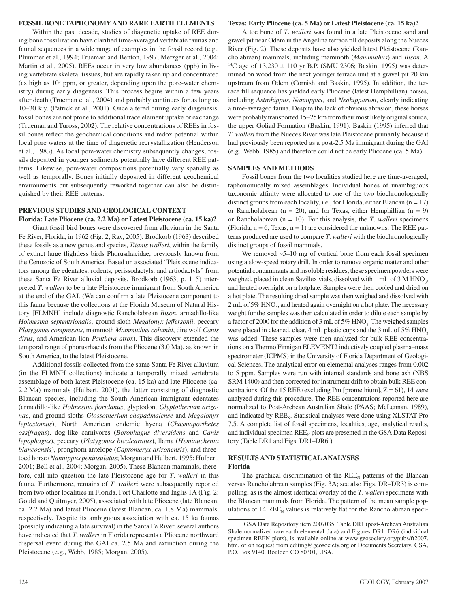## **FOSSIL BONE TAPHONOMY AND RARE EARTH ELEMENTS**

Within the past decade, studies of diagenetic uptake of REE during bone fossilization have clarified time-averaged vertebrate faunas and faunal sequences in a wide range of examples in the fossil record (e.g., Plummer et al., 1994; Trueman and Benton, 1997; Metzger et al., 2004; Martin et al., 2005). REEs occur in very low abundances (ppb) in living vertebrate skeletal tissues, but are rapidly taken up and concentrated (as high as  $10<sup>3</sup>$  ppm, or greater, depending upon the pore-water chemistry) during early diagenesis. This process begins within a few years after death (Trueman et al., 2004) and probably continues for as long as 10–30 k.y. (Patrick et al., 2001). Once altered during early diagenesis, fossil bones are not prone to additional trace element uptake or exchange (Trueman and Tuross, 2002). The relative concentrations of REEs in fossil bones reflect the geochemical conditions and redox potential within local pore waters at the time of diagenetic recrystallization (Henderson et al., 1983). As local pore-water chemistry subsequently changes, fossils deposited in younger sediments potentially have different REE patterns. Likewise, pore-water compositions potentially vary spatially as well as temporally. Bones initially deposited in different geochemical environments but subsequently reworked together can also be distinguished by their REE patterns.

# **PREVIOUS STUDIES AND GEOLOGICAL CONTEXT**

**Florida: Late Pliocene (ca. 2.2 Ma) or Latest Pleistocene (ca. 15 ka)?** Giant fossil bird bones were discovered from alluvium in the Santa Fe River, Florida, in 1962 (Fig. 2; Ray, 2005). Brodkorb (1963) described these fossils as a new genus and species, *Titanis walleri*, within the family of extinct large flightless birds Phorusrhacidae, previously known from the Cenozoic of South America. Based on associated "Pleistocene indicators among the edentates, rodents, perissodactyls, and artiodactyls" from these Santa Fe River alluvial deposits, Brodkorb (1963, p. 115) interpreted *T*. *walleri* to be a late Pleistocene immigrant from South America at the end of the GAI. (We can confirm a late Pleistocene component to this fauna because the collections at the Florida Museum of Natural History [FLMNH] include diagnostic Rancholabrean *Bison*, armadillo-like *Holmesina septentrionalis*, ground sloth *Megalonyx jeffersonii*, peccary *Platygonus compressus*, mammoth *Mammuthus columbi*, dire wolf *Canis dirus*, and American lion *Panthera atrox*). This discovery extended the temporal range of phorusrhacids from the Pliocene (3.0 Ma), as known in South America, to the latest Pleistocene.

Additional fossils collected from the same Santa Fe River alluvium (in the FLMNH collections) indicate a temporally mixed vertebrate assemblage of both latest Pleistocene (ca. 15 ka) and late Pliocene (ca. 2.2 Ma) mammals (Hulbert, 2001), the latter consisting of diagnostic Blancan species, including the South American immigrant edentates (armadillo-like *Holmesina floridanus*, glyptodont *Glyptotherium arizonae*, and ground sloths *Glossotherium chapadmalense* and *Megalonyx leptostomus*), North American endemic hyena (*Chasmaporthetes ossifragus*), dog-like carnivores (*Borophagus diversidens* and *Canis lepophagus*), peccary (*Platygonus bicalcaratus*), llama ( *Hemiauchenia blancoensis*), pronghorn antelope (*Capromeryx arizonensis*), and threetoed horse (*Nannippus peninsulatus*; Morgan and Hulbert, 1995; Hulbert, 2001; Bell et al., 2004; Morgan, 2005). These Blancan mammals, therefore, call into question the late Pleistocene age for *T*. *walleri* in this fauna. Furthermore, remains of *T*. *walleri* were subsequently reported from two other localities in Florida, Port Charlotte and Inglis 1A (Fig. 2; Gould and Quitmyer, 2005), associated with late Pliocene (late Blancan, ca. 2.2 Ma) and latest Pliocene (latest Blancan, ca. 1.8 Ma) mammals, respectively. Despite its ambiguous association with ca. 15 ka faunas (possibly indicating a late survival) in the Santa Fe River, several authors have indicated that *T*. *walleri* in Florida represents a Pliocene northward dispersal event during the GAI ca. 2.5 Ma and extinction during the Pleistocene (e.g., Webb, 1985; Morgan, 2005).

#### **Texas: Early Pliocene (ca. 5 Ma) or Latest Pleistocene (ca. 15 ka)?**

A toe bone of *T*. *walleri* was found in a late Pleistocene sand and gravel pit near Odem in the Angelina terrace fill deposits along the Nueces River (Fig. 2). These deposits have also yielded latest Pleistocene (Rancholabrean) mammals, including mammoth (*Mammuthus*) and *Bison*. A 14C age of 13,230 ± 110 yr B.P. (SMU 2306; Baskin, 1995) was determined on wood from the next younger terrace unit at a gravel pit 20 km upstream from Odem (Cornish and Baskin, 1995). In addition, the terrace fill sequence has yielded early Pliocene (latest Hemphillian) horses, including *Astrohippus*, *Nannippus*, and *Neohipparion*, clearly indicating a time-averaged fauna. Despite the lack of obvious abrasion, these horses were probably transported 15–25 km from their most likely original source, the upper Goliad Formation (Baskin, 1991). Baskin (1995) inferred that *T*. *walleri* from the Nueces River was late Pleistocene primarily because it had previously been reported as a post-2.5 Ma immigrant during the GAI (e.g., Webb, 1985) and therefore could not be early Pliocene (ca. 5 Ma).

## **SAMPLES AND METHODS**

Fossil bones from the two localities studied here are time-averaged, taphonomically mixed assemblages. Individual bones of unambiguous taxonomic affinity were allocated to one of the two biochronologically distinct groups from each locality, i.e., for Florida, either Blancan  $(n = 17)$ or Rancholabrean ( $n = 20$ ), and for Texas, either Hemphillian ( $n = 9$ ) or Rancholabrean (n = 10). For this analysis, the *T*. *walleri* specimens (Florida,  $n = 6$ ; Texas,  $n = 1$ ) are considered the unknowns. The REE patterns produced are used to compare *T*. *walleri* with the biochronologically distinct groups of fossil mammals.

We removed  $\sim$  5–10 mg of cortical bone from each fossil specimen using a slow-speed rotary drill. In order to remove organic matter and other potential contaminants and insoluble residues, these specimen powders were weighed, placed in clean Savillex vials, dissolved with  $1 \text{ mL of } 3 \text{ M HNO}_3$ , and heated overnight on a hotplate. Samples were then cooled and dried on a hot plate. The resulting dried sample was then weighed and dissolved with 2 mL of 5%  $HNO<sub>3</sub>$ , and heated again overnight on a hot plate. The necessary weight for the samples was then calculated in order to dilute each sample by a factor of 2000 for the addition of 3 mL of 5%  $HNO<sub>3</sub>$ . The weighed samples were placed in cleaned, clear, 4 mL plastic cups and the 3 mL of 5%  $HNO<sub>3</sub>$ was added. These samples were then analyzed for bulk REE concentrations on a Thermo Finnigan ELEMENT2 inductively coupled plasma–mass spectrometer (ICPMS) in the University of Florida Department of Geological Sciences. The analytical error on elemental analyses ranges from 0.002 to 5 ppm. Samples were run with internal standards and bone ash (NBS SRM 1400) and then corrected for instrument drift to obtain bulk REE concentrations. Of the 15 REE (excluding Pm [promethium],  $Z = 61$ ), 14 were analyzed during this procedure. The REE concentrations reported here are normalized to Post-Archean Australian Shale (PAAS; McLennan, 1989), and indicated by  $REE_{N}$ . Statistical analyses were done using XLSTAT Pro 7.5. A complete list of fossil specimens, localities, age, analytical results, and individual specimen  $REE<sub>N</sub>$  plots are presented in the GSA Data Repository (Table DR1 and Figs. DR1-DR6<sup>1</sup>).

#### **RESULTS AND STATISTICAL ANALYSES Florida**

The graphical discrimination of the  $REE<sub>N</sub>$  patterns of the Blancan versus Rancholabrean samples (Fig. 3A; see also Figs. DR–DR3) is compelling, as is the almost identical overlay of the *T*. *walleri* specimens with the Blancan mammals from Florida. The pattern of the mean sample populations of 14  $REE<sub>N</sub>$  values is relatively flat for the Rancholabrean speci-

<sup>1</sup> GSA Data Repository item 2007035, Table DR1 (post-Archean Australian Shale normalized rare earth elemental data) and Figures DR1–DR6 (individual specimen REEN plots), is available online at www.geosociety.org/pubs/ft2007. htm, or on request from editing@geosociety.org or Documents Secretary, GSA, P.O. Box 9140, Boulder, CO 80301, USA.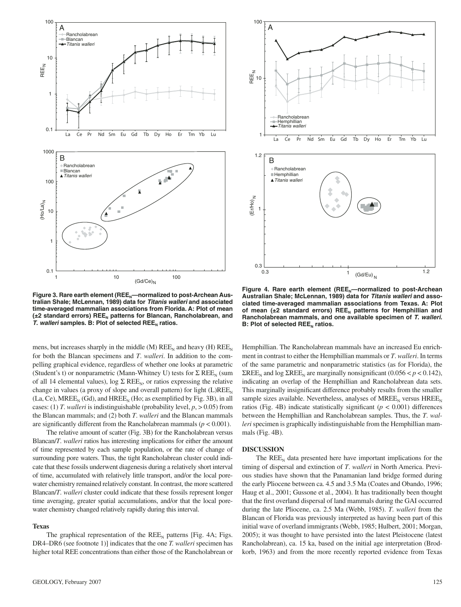

Figure 3. Rare earth element (REE<sub>N</sub>—normalized to post-Archean Aus**tralian Shale; McLennan, 1989) data for** *Titanis walleri* **and associated time-averaged mammalian associations from Florida. A: Plot of mean**  (±2 standard errors) REE<sub>N</sub> patterns for Blancan, Rancholabrean, and *T. walleri* samples. B: Plot of selected REE<sub>N</sub> ratios.

mens, but increases sharply in the middle (M)  $REE<sub>N</sub>$  and heavy (H)  $REE<sub>N</sub>$ for both the Blancan specimens and *T*. *walleri*. In addition to the compelling graphical evidence, regardless of whether one looks at parametric (Student's t) or nonparametric (Mann-Whitney U) tests for  $\Sigma$  REE<sub>N</sub> (sum of all 14 elemental values), log  $\Sigma$  REE<sub>N</sub>, or ratios expressing the relative change in values (a proxy of slope and overall pattern) for light  $(L)REE_{N}$  $(La, Ce)$ , MREE<sub>N</sub>  $(Gd)$ , and HREE<sub>N</sub> (Ho; as exemplified by Fig. 3B), in all cases: (1) *T*. *walleri* is indistinguishable (probability level, *p*, > 0.05) from the Blancan mammals; and (2) both *T*. *walleri* and the Blancan mammals are significantly different from the Rancholabrean mammals ( $p < 0.001$ ).

The relative amount of scatter (Fig. 3B) for the Rancholabrean versus Blancan/*T*. *walleri* ratios has interesting implications for either the amount of time represented by each sample population, or the rate of change of surrounding pore waters. Thus, the tight Rancholabrean cluster could indicate that these fossils underwent diagenesis during a relatively short interval of time, accumulated with relatively little transport, and/or the local porewater chemistry remained relatively constant. In contrast, the more scattered Blancan/*T*. *walleri* cluster could indicate that these fossils represent longer time averaging, greater spatial accumulations, and/or that the local porewater chemistry changed relatively rapidly during this interval.

## **Texas**

The graphical representation of the  $REE<sub>N</sub>$  patterns [Fig. 4A; Figs. DR4–DR6 (see footnote 1)] indicates that the one *T. walleri* specimen has higher total REE concentrations than either those of the Rancholabrean or



Figure 4. Rare earth element (REE<sub>N</sub>—normalized to post-Archean **Australian Shale; McLennan, 1989) data for** *Titanis walleri* **and associated time-averaged mammalian associations from Texas. A: Plot**  of mean  $(\pm 2$  standard errors) REE<sub>N</sub> patterns for Hemphillian and **Rancholabrean mammals, and one available specimen of** *T***.** *walleri***. B: Plot of selected REE<sub>N</sub> ratios.** 

Hemphillian. The Rancholabrean mammals have an increased Eu enrichment in contrast to either the Hemphillian mammals or *T*. *walleri*. In terms of the same parametric and nonparametric statistics (as for Florida), the ΣREE<sub>N</sub> and log ΣREE<sub>N</sub> are marginally nonsignificant (0.056 <  $p$  < 0.142), indicating an overlap of the Hemphillian and Rancholabrean data sets. This marginally insignificant difference probably results from the smaller sample sizes available. Nevertheless, analyses of  $MREE_{N}$  versus  $HREE_{N}$ ratios (Fig. 4B) indicate statistically significant  $(p < 0.001)$  differences between the Hemphillian and Rancholabrean samples. Thus, the *T*. *walleri* specimen is graphically indistinguishable from the Hemphillian mammals (Fig. 4B).

#### **DISCUSSION**

The  $REE<sub>N</sub>$  data presented here have important implications for the timing of dispersal and extinction of *T*. *walleri* in North America. Previous studies have shown that the Panamanian land bridge formed during the early Pliocene between ca. 4.5 and 3.5 Ma (Coates and Obando, 1996; Haug et al., 2001; Gussone et al., 2004). It has traditionally been thought that the first overland dispersal of land mammals during the GAI occurred during the late Pliocene, ca. 2.5 Ma (Webb, 1985). *T*. *walleri* from the Blancan of Florida was previously interpreted as having been part of this initial wave of overland immigrants (Webb, 1985; Hulbert, 2001; Morgan, 2005); it was thought to have persisted into the latest Pleistocene (latest Rancholabrean), ca. 15 ka, based on the initial age interpretation (Brodkorb, 1963) and from the more recently reported evidence from Texas